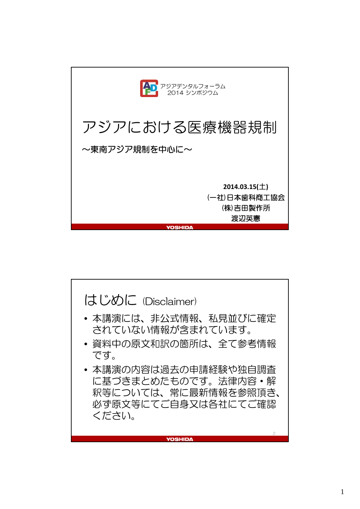

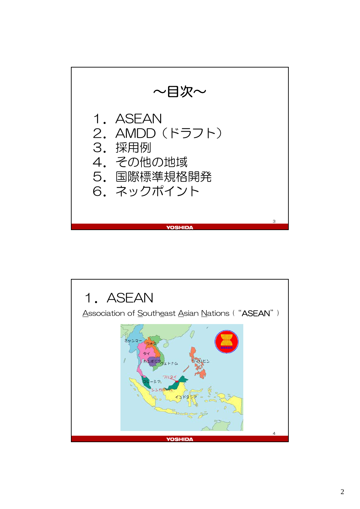

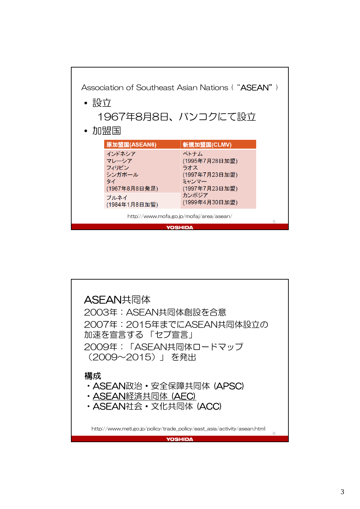

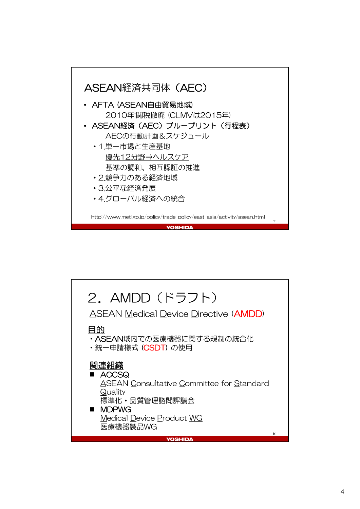

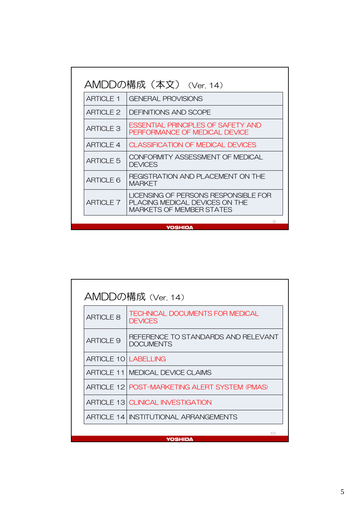|                  | AMDDの構成(本文) (Ver. 14)                                                                              |
|------------------|----------------------------------------------------------------------------------------------------|
| <b>ARTICLE 1</b> | <b>GENERAL PROVISIONS</b>                                                                          |
| ARTICI F 2       | <b>DEFINITIONS AND SCOPE</b>                                                                       |
| <b>ARTICLE 3</b> | <b>FSSENTIAL PRINCIPLES OF SAFETY AND</b><br>PERFORMANCE OF MEDICAL DEVICE                         |
| ARTICI F 4       | <b>CLASSIFICATION OF MEDICAL DEVICES</b>                                                           |
| <b>ARTICLE 5</b> | CONFORMITY ASSESSMENT OF MEDICAL<br><b>DEVICES</b>                                                 |
| <b>ARTICLE 6</b> | REGISTRATION AND PLACEMENT ON THE<br><b>MARKFT</b>                                                 |
| ARTICI F 7       | LICENSING OF PERSONS RESPONSIBLE FOR<br>PLACING MEDICAL DEVICES ON THE<br>MARKETS OF MEMBER STATES |

**YOSHIDA** 

| AMDDの構成 (Ver. 14)                            |                                                          |  |  |  |
|----------------------------------------------|----------------------------------------------------------|--|--|--|
| <b>ARTICLE 8</b>                             | <b>TECHNICAL DOCUMENTS FOR MEDICAL</b><br><b>DEVICES</b> |  |  |  |
| <b>ARTICLE 9</b>                             | REFERENCE TO STANDARDS AND RELEVANT<br>DOCUMENTS         |  |  |  |
| <b>ARTICLE 10 LABELLING</b>                  |                                                          |  |  |  |
|                                              | <b>ARTICLE 11   MEDICAL DEVICE CLAIMS</b>                |  |  |  |
|                                              | ARTICLE 12 POST-MARKETING ALERT SYSTEM (PMAS)            |  |  |  |
|                                              | <b>ARTICLE 13 CLINICAL INVESTIGATION</b>                 |  |  |  |
| <b>ARTICLE 14 INSTITUTIONAL ARRANGEMENTS</b> |                                                          |  |  |  |
|                                              | 10                                                       |  |  |  |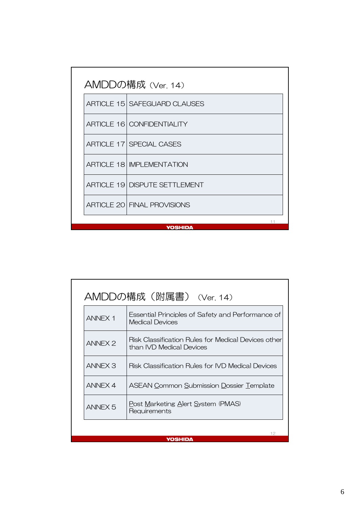| AMDDの構成 (Ver. 14) |                                      |  |  |  |
|-------------------|--------------------------------------|--|--|--|
|                   | <b>ARTICLE 15 SAFEGUARD CLAUSES</b>  |  |  |  |
|                   | <b>ARTICLE 16   CONFIDENTIALITY</b>  |  |  |  |
|                   | <b>ARTICLE 17 SPECIAL CASES</b>      |  |  |  |
|                   | <b>ARTICLE 18 IMPLEMENTATION</b>     |  |  |  |
|                   | <b>ARTICLE 19 DISPUTE SETTLEMENT</b> |  |  |  |
|                   | <b>ARTICLE 20 FINAL PROVISIONS</b>   |  |  |  |
|                   | <b>YOSHIDA</b>                       |  |  |  |

|                    | AMDDの構成(附属書) (Ver.14)                                                           |  |
|--------------------|---------------------------------------------------------------------------------|--|
| <b>ANNEX 1</b>     | Essential Principles of Safety and Performance of<br>Medical Devices            |  |
| <b>ANNEX 2</b>     | Risk Classification Rules for Medical Devices other<br>than IVD Medical Devices |  |
| ANNEX 3            | Risk Classification Rules for IVD Medical Devices                               |  |
| ANNEX 4            | <b>ASEAN Common Submission Dossier Template</b>                                 |  |
| ANNEX <sub>5</sub> | Post Marketing Alert System (PMAS)<br>Requirements                              |  |
|                    | 12                                                                              |  |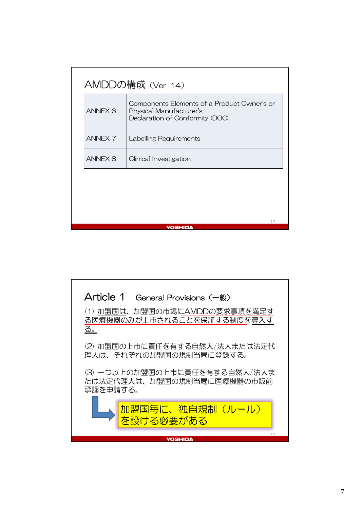| ANNEX <sub>6</sub> | Components Elements of a Product Owner's or<br>Physical Manufacturer's<br>Declaration of Conformity (DOC) |  |
|--------------------|-----------------------------------------------------------------------------------------------------------|--|
| <b>ANNEX 7</b>     | Labelling Requirements                                                                                    |  |
| <b>ANNEX 8</b>     | Clinical Investigation                                                                                    |  |
|                    |                                                                                                           |  |
|                    |                                                                                                           |  |

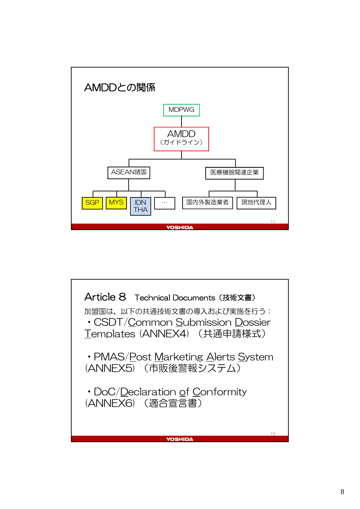

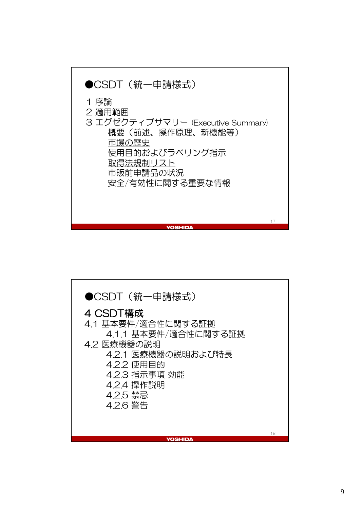

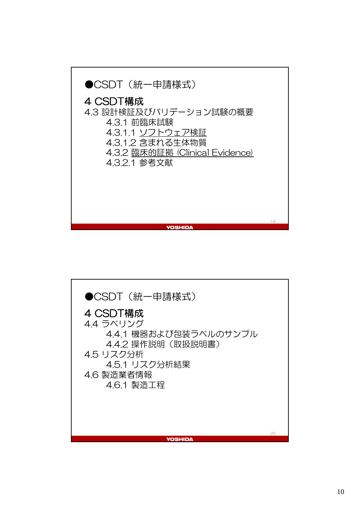

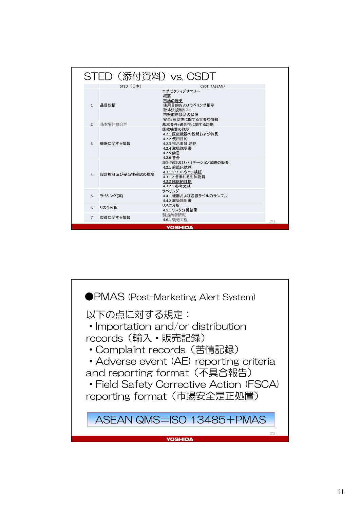|                | STED (添付資料) vs. CSDT |                                                                                                          |    |
|----------------|----------------------|----------------------------------------------------------------------------------------------------------|----|
|                | STED (日本)            | CSDT (ASEAN)                                                                                             |    |
| $\mathbf{1}$   | 品目総括                 | エグゼクティブサマリー<br>概要<br>市場の歴史<br>使用目的およびラベリング指示<br>取得法規制リスト<br>市販前申請品の状況<br>安全/有効性に関する重要な情報                 |    |
| $\overline{2}$ | 基本要件適合性              | 基本要件/適合性に関する証拠                                                                                           |    |
| 3              | 機器に関する情報             | 医療機器の説明<br>4.2.1 医療機器の説明および特長<br>4.2.2 使用目的<br>4.2.3 指示事項 効能<br>4.2.4 取扱説明書<br>4.2.5 禁忌<br>4.2.6 警告      |    |
| $\overline{4}$ | 設計検証及び妥当性確認の概要       | 設計検証及びバリデーション試験の概要<br>4.3.1 前臨床試験<br>4.3.1.1 ソフトウェア検証<br>4.3.1.2 含まれる生体物質<br>4.3.2 臨床的証拠<br>4.3.2.1 参考文献 |    |
| 5              | ラベリング(案)             | ラベリング<br>4.4.1 機器および包装ラベルのサンプル<br>4.4.2 取扱説明書                                                            |    |
| 6              | リスク分析                | リスク分析<br>4.5.1 リスク分析結果                                                                                   |    |
| $\overline{7}$ | 製造に関する情報             | 製造業者情報<br>4.6.1 製造工程                                                                                     | 21 |
|                |                      | YOSHIDA                                                                                                  |    |

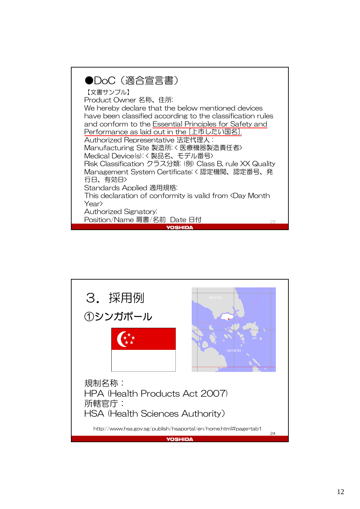

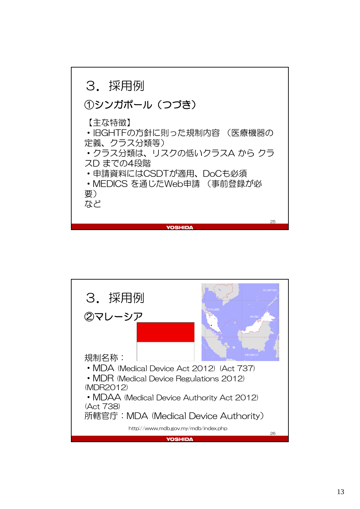

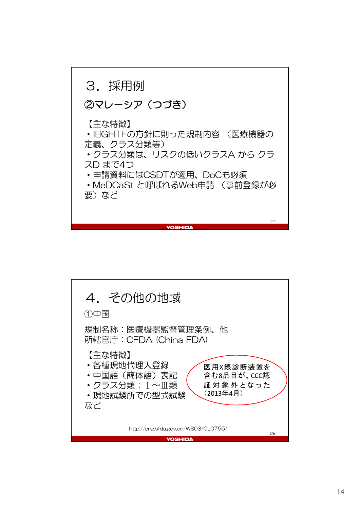![](_page_13_Figure_0.jpeg)

![](_page_13_Figure_1.jpeg)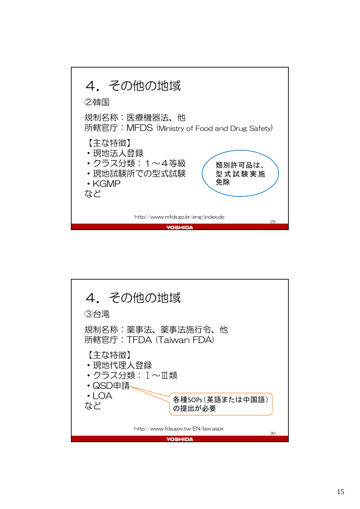![](_page_14_Figure_0.jpeg)

![](_page_14_Figure_1.jpeg)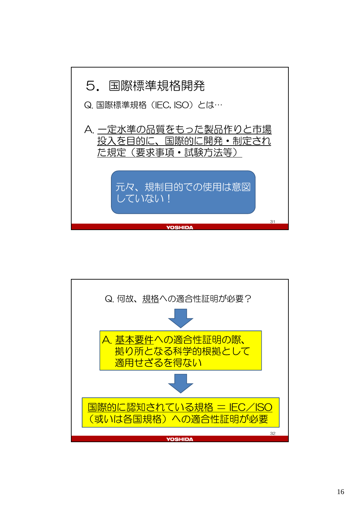![](_page_15_Figure_0.jpeg)

![](_page_15_Figure_1.jpeg)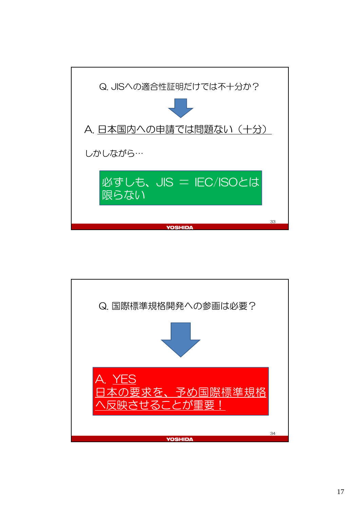![](_page_16_Figure_0.jpeg)

![](_page_16_Figure_1.jpeg)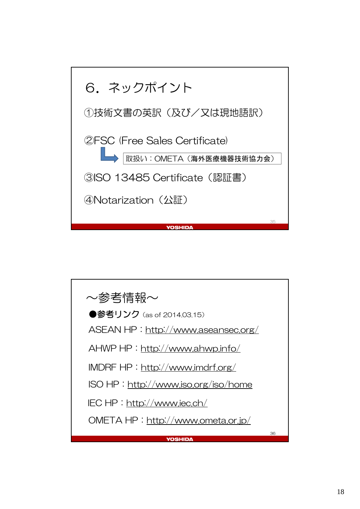![](_page_17_Figure_0.jpeg)

![](_page_17_Figure_1.jpeg)